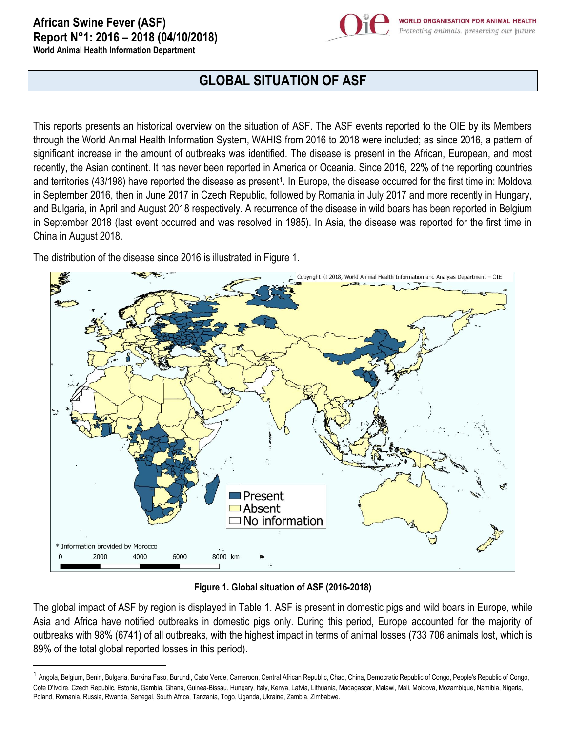## **African Swine Fever (ASF) Report N°1: 2016 – 2018 (04/10/2018)**



**World Animal Health Information Department**

 $\overline{\phantom{a}}$ 

## **GLOBAL SITUATION OF ASF**

This reports presents an historical overview on the situation of ASF. The ASF events reported to the OIE by its Members through the World Animal Health Information System, WAHIS from 2016 to 2018 were included; as since 2016, a pattern of significant increase in the amount of outbreaks was identified. The disease is present in the African, European, and most recently, the Asian continent. It has never been reported in America or Oceania. Since 2016, 22% of the reporting countries and territories (43/198) have reported the disease as present<sup>1</sup>. In Europe, the disease occurred for the first time in: Moldova in September 2016, then in June 2017 in Czech Republic, followed by Romania in July 2017 and more recently in Hungary, and Bulgaria, in April and August 2018 respectively. A recurrence of the disease in wild boars has been reported in Belgium in September 2018 (last event occurred and was resolved in 1985). In Asia, the disease was reported for the first time in China in August 2018.

The distribution of the disease since 2016 is illustrated in Figure 1.



**Figure 1. Global situation of ASF (2016-2018)**

The global impact of ASF by region is displayed in Table 1. ASF is present in domestic pigs and wild boars in Europe, while Asia and Africa have notified outbreaks in domestic pigs only. During this period, Europe accounted for the majority of outbreaks with 98% (6741) of all outbreaks, with the highest impact in terms of animal losses (733 706 animals lost, which is 89% of the total global reported losses in this period).

<sup>&</sup>lt;sup>1</sup> Angola, Belgium, Benin, Bulgaria, Burkina Faso, Burundi, Cabo Verde, Cameroon, Central African Republic, Chad, China, Democratic Republic of Congo, People's Republic of Congo, Cote D'Ivoire, Czech Republic, Estonia, Gambia, Ghana, Guinea-Bissau, Hungary, Italy, Kenya, Latvia, Lithuania, Madagascar, Malawi, Mali, Moldova, Mozambique, Namibia, Nigeria, Poland, Romania, Russia, Rwanda, Senegal, South Africa, Tanzania, Togo, Uganda, Ukraine, Zambia, Zimbabwe.